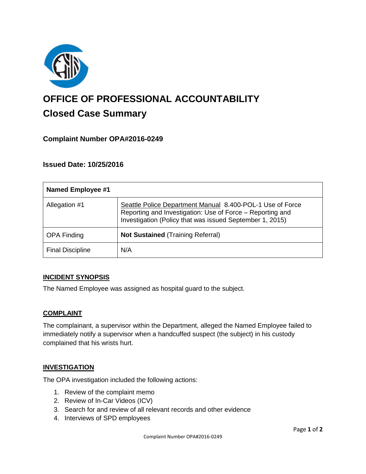

# **OFFICE OF PROFESSIONAL ACCOUNTABILITY Closed Case Summary**

## **Complaint Number OPA#2016-0249**

## **Issued Date: 10/25/2016**

| <b>Named Employee #1</b> |                                                                                                                                                                                    |
|--------------------------|------------------------------------------------------------------------------------------------------------------------------------------------------------------------------------|
| Allegation #1            | Seattle Police Department Manual 8.400-POL-1 Use of Force<br>Reporting and Investigation: Use of Force - Reporting and<br>Investigation (Policy that was issued September 1, 2015) |
| <b>OPA Finding</b>       | <b>Not Sustained (Training Referral)</b>                                                                                                                                           |
| <b>Final Discipline</b>  | N/A                                                                                                                                                                                |

### **INCIDENT SYNOPSIS**

The Named Employee was assigned as hospital guard to the subject.

### **COMPLAINT**

The complainant, a supervisor within the Department, alleged the Named Employee failed to immediately notify a supervisor when a handcuffed suspect (the subject) in his custody complained that his wrists hurt.

### **INVESTIGATION**

The OPA investigation included the following actions:

- 1. Review of the complaint memo
- 2. Review of In-Car Videos (ICV)
- 3. Search for and review of all relevant records and other evidence
- 4. Interviews of SPD employees